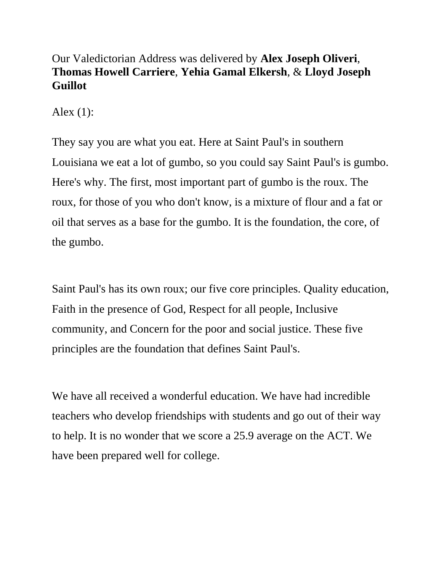## Our Valedictorian Address was delivered by **Alex Joseph Oliveri**, **Thomas Howell Carriere**, **Yehia Gamal Elkersh**, & **Lloyd Joseph Guillot**

Alex (1):

They say you are what you eat. Here at Saint Paul's in southern Louisiana we eat a lot of gumbo, so you could say Saint Paul's is gumbo. Here's why. The first, most important part of gumbo is the roux. The roux, for those of you who don't know, is a mixture of flour and a fat or oil that serves as a base for the gumbo. It is the foundation, the core, of the gumbo.

Saint Paul's has its own roux; our five core principles. Quality education, Faith in the presence of God, Respect for all people, Inclusive community, and Concern for the poor and social justice. These five principles are the foundation that defines Saint Paul's.

We have all received a wonderful education. We have had incredible teachers who develop friendships with students and go out of their way to help. It is no wonder that we score a 25.9 average on the ACT. We have been prepared well for college.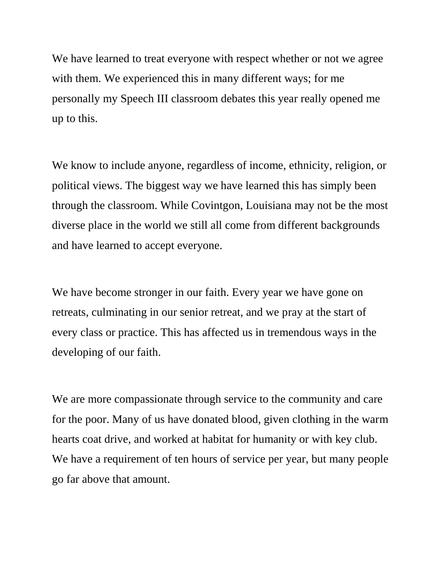We have learned to treat everyone with respect whether or not we agree with them. We experienced this in many different ways; for me personally my Speech III classroom debates this year really opened me up to this.

We know to include anyone, regardless of income, ethnicity, religion, or political views. The biggest way we have learned this has simply been through the classroom. While Covintgon, Louisiana may not be the most diverse place in the world we still all come from different backgrounds and have learned to accept everyone.

We have become stronger in our faith. Every year we have gone on retreats, culminating in our senior retreat, and we pray at the start of every class or practice. This has affected us in tremendous ways in the developing of our faith.

We are more compassionate through service to the community and care for the poor. Many of us have donated blood, given clothing in the warm hearts coat drive, and worked at habitat for humanity or with key club. We have a requirement of ten hours of service per year, but many people go far above that amount.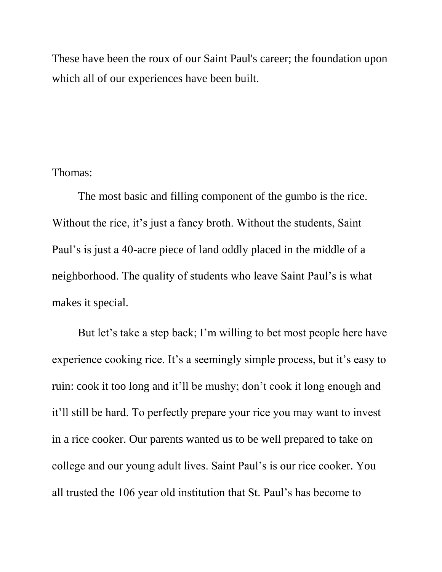These have been the roux of our Saint Paul's career; the foundation upon which all of our experiences have been built.

## Thomas:

The most basic and filling component of the gumbo is the rice. Without the rice, it's just a fancy broth. Without the students, Saint Paul's is just a 40-acre piece of land oddly placed in the middle of a neighborhood. The quality of students who leave Saint Paul's is what makes it special.

But let's take a step back; I'm willing to bet most people here have experience cooking rice. It's a seemingly simple process, but it's easy to ruin: cook it too long and it'll be mushy; don't cook it long enough and it'll still be hard. To perfectly prepare your rice you may want to invest in a rice cooker. Our parents wanted us to be well prepared to take on college and our young adult lives. Saint Paul's is our rice cooker. You all trusted the 106 year old institution that St. Paul's has become to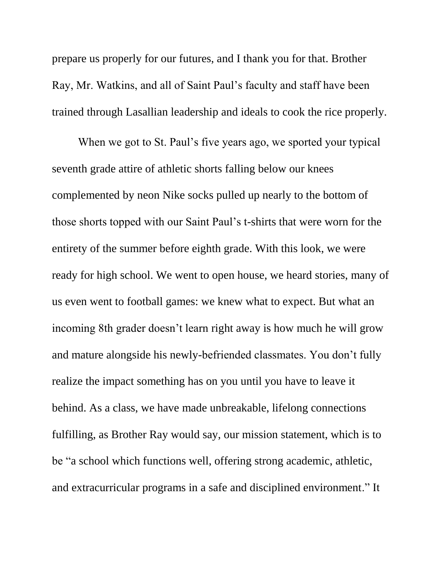prepare us properly for our futures, and I thank you for that. Brother Ray, Mr. Watkins, and all of Saint Paul's faculty and staff have been trained through Lasallian leadership and ideals to cook the rice properly.

When we got to St. Paul's five years ago, we sported your typical seventh grade attire of athletic shorts falling below our knees complemented by neon Nike socks pulled up nearly to the bottom of those shorts topped with our Saint Paul's t-shirts that were worn for the entirety of the summer before eighth grade. With this look, we were ready for high school. We went to open house, we heard stories, many of us even went to football games: we knew what to expect. But what an incoming 8th grader doesn't learn right away is how much he will grow and mature alongside his newly-befriended classmates. You don't fully realize the impact something has on you until you have to leave it behind. As a class, we have made unbreakable, lifelong connections fulfilling, as Brother Ray would say, our mission statement, which is to be "a school which functions well, offering strong academic, athletic, and extracurricular programs in a safe and disciplined environment." It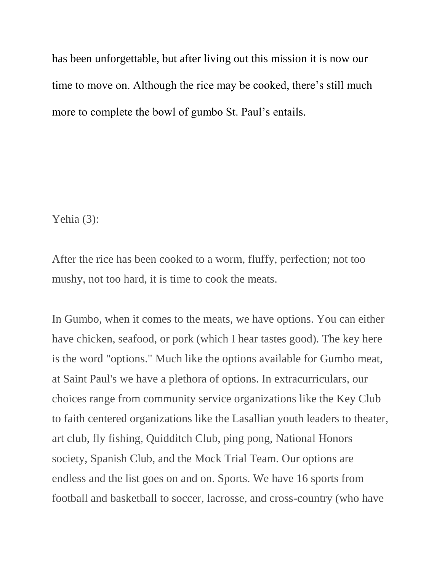has been unforgettable, but after living out this mission it is now our time to move on. Although the rice may be cooked, there's still much more to complete the bowl of gumbo St. Paul's entails.

Yehia (3):

After the rice has been cooked to a worm, fluffy, perfection; not too mushy, not too hard, it is time to cook the meats.

In Gumbo, when it comes to the meats, we have options. You can either have chicken, seafood, or pork (which I hear tastes good). The key here is the word "options." Much like the options available for Gumbo meat, at Saint Paul's we have a plethora of options. In extracurriculars, our choices range from community service organizations like the Key Club to faith centered organizations like the Lasallian youth leaders to theater, art club, fly fishing, Quidditch Club, ping pong, National Honors society, Spanish Club, and the Mock Trial Team. Our options are endless and the list goes on and on. Sports. We have 16 sports from football and basketball to soccer, lacrosse, and cross-country (who have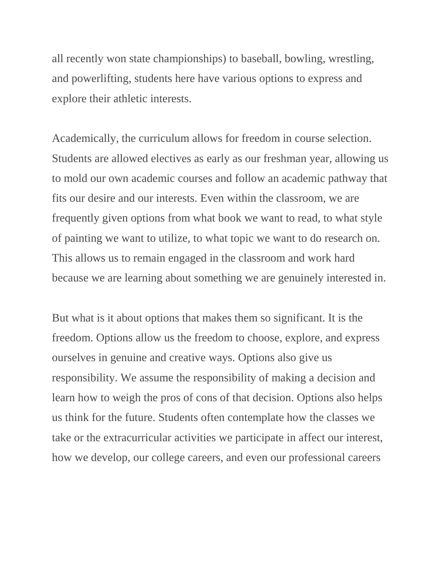all recently won state championships) to baseball, bowling, wrestling, and powerlifting, students here have various options to express and explore their athletic interests.

Academically, the curriculum allows for freedom in course selection. Students are allowed electives as early as our freshman year, allowing us to mold our own academic courses and follow an academic pathway that fits our desire and our interests. Even within the classroom, we are frequently given options from what book we want to read, to what style of painting we want to utilize, to what topic we want to do research on. This allows us to remain engaged in the classroom and work hard because we are learning about something we are genuinely interested in.

But what is it about options that makes them so significant. It is the freedom. Options allow us the freedom to choose, explore, and express ourselves in genuine and creative ways. Options also give us responsibility. We assume the responsibility of making a decision and learn how to weigh the pros of cons of that decision. Options also helps us think for the future. Students often contemplate how the classes we take or the extracurricular activities we participate in affect our interest, how we develop, our college careers, and even our professional careers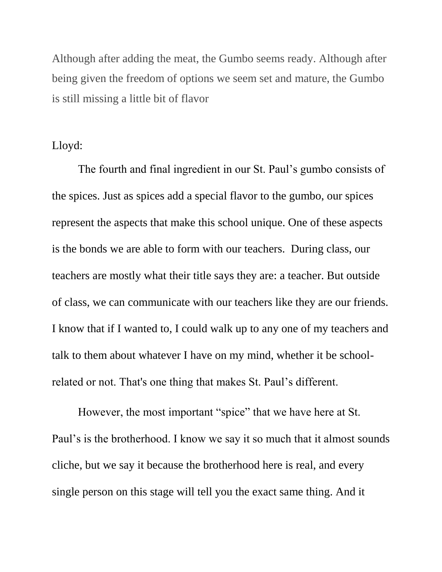Although after adding the meat, the Gumbo seems ready. Although after being given the freedom of options we seem set and mature, the Gumbo is still missing a little bit of flavor

## Lloyd:

The fourth and final ingredient in our St. Paul's gumbo consists of the spices. Just as spices add a special flavor to the gumbo, our spices represent the aspects that make this school unique. One of these aspects is the bonds we are able to form with our teachers. During class, our teachers are mostly what their title says they are: a teacher. But outside of class, we can communicate with our teachers like they are our friends. I know that if I wanted to, I could walk up to any one of my teachers and talk to them about whatever I have on my mind, whether it be schoolrelated or not. That's one thing that makes St. Paul's different.

However, the most important "spice" that we have here at St. Paul's is the brotherhood. I know we say it so much that it almost sounds cliche, but we say it because the brotherhood here is real, and every single person on this stage will tell you the exact same thing. And it